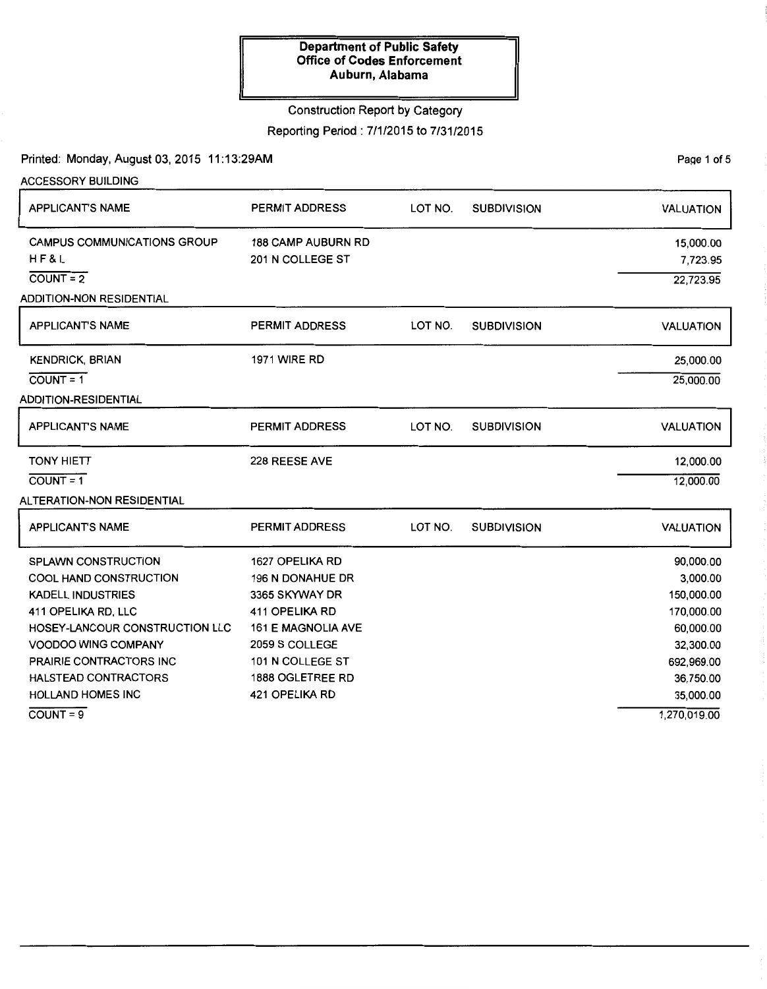# Construction Report by Category

Reporting Period: 7/1/2015 to 7/31/2015

Printed: Monday, August 03, 2015 11:13:29AM

PaQe 1 of 5

| <b>ACCESSORY BUILDING</b>          |                           |         |                    |                  |  |  |  |
|------------------------------------|---------------------------|---------|--------------------|------------------|--|--|--|
| <b>APPLICANT'S NAME</b>            | <b>PERMIT ADDRESS</b>     | LOT NO. | <b>SUBDIVISION</b> | <b>VALUATION</b> |  |  |  |
| <b>CAMPUS COMMUNICATIONS GROUP</b> | <b>188 CAMP AUBURN RD</b> |         |                    | 15,000.00        |  |  |  |
| HF&L                               | 201 N COLLEGE ST          |         |                    | 7,723.95         |  |  |  |
| $COUNT = 2$                        |                           |         |                    |                  |  |  |  |
| <b>ADDITION-NON RESIDENTIAL</b>    |                           |         |                    |                  |  |  |  |
| APPLICANT'S NAME                   | <b>PERMIT ADDRESS</b>     | LOT NO. | <b>SUBDIVISION</b> | <b>VALUATION</b> |  |  |  |
| <b>KENDRICK, BRIAN</b>             | <b>1971 WIRE RD</b>       |         |                    | 25,000.00        |  |  |  |
| $COUNT = 1$                        |                           |         |                    | 25,000.00        |  |  |  |
| <b>ADDITION-RESIDENTIAL</b>        |                           |         |                    |                  |  |  |  |
| <b>APPLICANT'S NAME</b>            | <b>PERMIT ADDRESS</b>     | LOT NO. | <b>SUBDIVISION</b> | <b>VALUATION</b> |  |  |  |
| <b>TONY HIETT</b>                  | 228 REESE AVE             |         |                    | 12,000.00        |  |  |  |
| $COUNT = 1$                        |                           |         |                    | 12,000.00        |  |  |  |
| ALTERATION-NON RESIDENTIAL         |                           |         |                    |                  |  |  |  |
| <b>APPLICANT'S NAME</b>            | <b>PERMIT ADDRESS</b>     | LOT NO. | <b>SUBDIVISION</b> | <b>VALUATION</b> |  |  |  |
| SPLAWN CONSTRUCTION                | 1627 OPELIKA RD           |         |                    | 90,000.00        |  |  |  |
| <b>COOL HAND CONSTRUCTION</b>      | 196 N DONAHUE DR          |         |                    | 3,000.00         |  |  |  |
| <b>KADELL INDUSTRIES</b>           | 3365 SKYWAY DR            |         |                    | 150,000.00       |  |  |  |
| 411 OPELIKA RD, LLC                | <b>411 OPELIKA RD</b>     |         |                    | 170,000.00       |  |  |  |
| HOSEY-LANCOUR CONSTRUCTION LLC     | <b>161 E MAGNOLIA AVE</b> |         |                    | 60,000.00        |  |  |  |
| VOODOO WING COMPANY                | 2059 S COLLEGE            |         |                    | 32,300.00        |  |  |  |
| PRAIRIE CONTRACTORS INC            | 101 N COLLEGE ST          |         |                    | 692,969.00       |  |  |  |
| <b>HALSTEAD CONTRACTORS</b>        | 1888 OGLETREE RD          |         |                    | 36,750.00        |  |  |  |
| HOLLAND HOMES INC                  | 421 OPELIKA RD            |         |                    | 35,000.00        |  |  |  |
| $COVNT = 9$                        |                           |         |                    | 1,270,019.00     |  |  |  |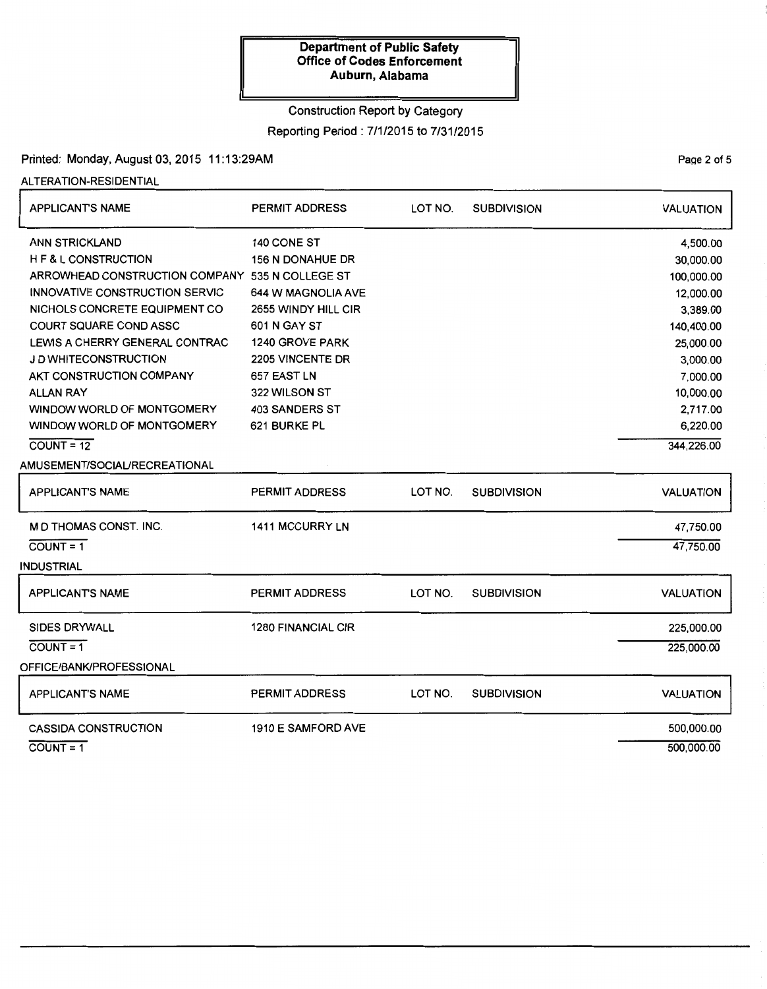## Construction Report by Category

Reporting Period : 7/1/2015 to 7/31/2015

# Printed: Monday, August 03, 2015 11: 13:29AM

ALTERATION-RESIDENTIAL

| <b>APPLICANTS NAME</b>                          | <b>PERMIT ADDRESS</b>     | LOT NO. | <b>SUBDIVISION</b> | <b>VALUATION</b> |
|-------------------------------------------------|---------------------------|---------|--------------------|------------------|
| <b>ANN STRICKLAND</b>                           | 140 CONE ST               |         |                    | 4,500.00         |
| H F & L CONSTRUCTION                            | <b>156 N DONAHUE DR</b>   |         |                    | 30,000.00        |
| ARROWHEAD CONSTRUCTION COMPANY 535 N COLLEGE ST |                           |         |                    | 100,000.00       |
| INNOVATIVE CONSTRUCTION SERVIC                  | 644 W MAGNOLIA AVE        |         |                    | 12,000.00        |
| NICHOLS CONCRETE EQUIPMENT CO                   | 2655 WINDY HILL CIR       |         |                    | 3,389.00         |
| <b>COURT SQUARE COND ASSC</b>                   | 601 N GAY ST              |         |                    | 140,400.00       |
| LEWIS A CHERRY GENERAL CONTRAC                  | 1240 GROVE PARK           |         |                    | 25,000.00        |
| J D WHITECONSTRUCTION                           | 2205 VINCENTE DR          |         |                    | 3,000.00         |
| AKT CONSTRUCTION COMPANY                        | 657 EAST LN               |         |                    | 7,000.00         |
| <b>ALLAN RAY</b>                                | 322 WILSON ST             |         |                    | 10,000.00        |
| WINDOW WORLD OF MONTGOMERY                      | <b>403 SANDERS ST</b>     |         |                    | 2,717.00         |
| WINDOW WORLD OF MONTGOMERY                      | 621 BURKE PL              |         |                    | 6,220.00         |
| $COUNT = 12$                                    |                           |         |                    | 344,226.00       |
| AMUSEMENT/SOCIAL/RECREATIONAL                   |                           |         |                    |                  |
| <b>APPLICANT'S NAME</b>                         | <b>PERMIT ADDRESS</b>     | LOT NO. | <b>SUBDIVISION</b> | <b>VALUATION</b> |
| M D THOMAS CONST. INC.                          | 1411 MCCURRY LN           |         |                    | 47,750.00        |
| $COUNT = 1$                                     |                           |         |                    | 47,750.00        |
| INDUSTRIAL                                      |                           |         |                    |                  |
| <b>APPLICANT'S NAME</b>                         | <b>PERMIT ADDRESS</b>     | LOT NO. | <b>SUBDIVISION</b> | <b>VALUATION</b> |
| <b>SIDES DRYWALL</b>                            | <b>1280 FINANCIAL CIR</b> |         |                    | 225,000.00       |
| $COUNT = 1$                                     |                           |         |                    | 225,000.00       |
| OFFICE/BANK/PROFESSIONAL                        |                           |         |                    |                  |
| <b>APPLICANT'S NAME</b>                         | PERMIT ADDRESS            | LOT NO. | <b>SUBDIVISION</b> | <b>VALUATION</b> |
| <b>CASSIDA CONSTRUCTION</b>                     | 1910 E SAMFORD AVE        |         |                    | 500,000.00       |
| $COUNT = 1$                                     |                           |         |                    | 500,000.00       |

PaQe 2 of 5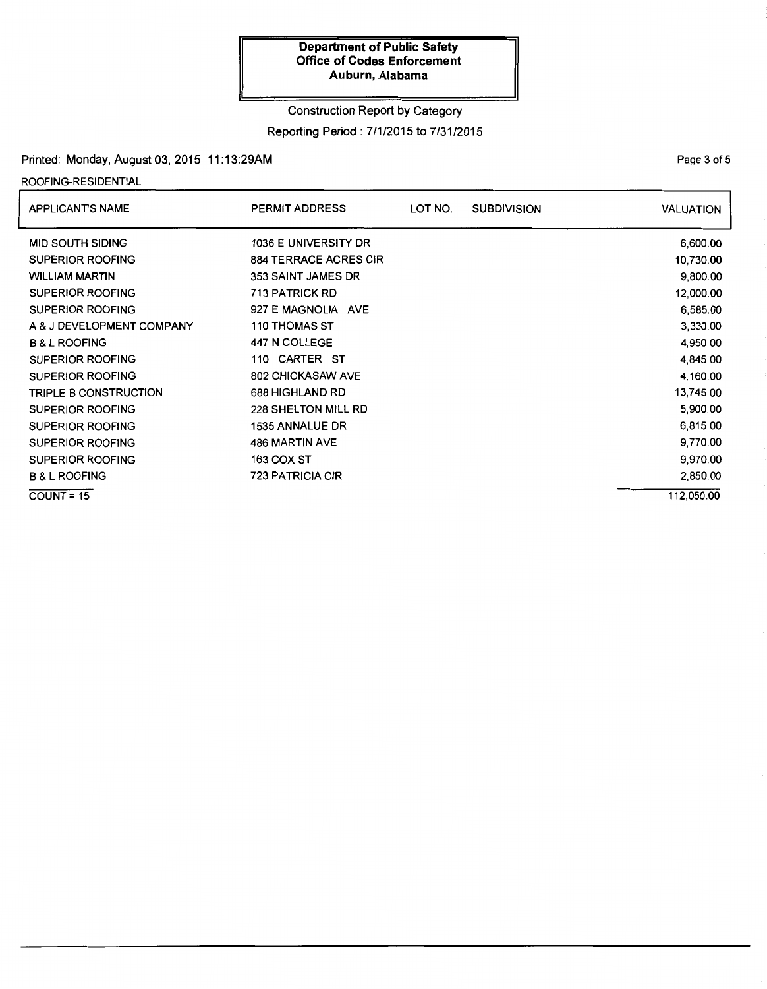# Construction Report by Category

## Reporting Period : 7/1/2015 to 7/31/2015

# Printed: Monday, August 03, 2015 11: 13:29AM

# ROOFING-RESIDENTIAL

| <b>APPLICANT'S NAME</b>      | <b>PERMIT ADDRESS</b>        | LOT NO. | <b>SUBDIVISION</b> | <b>VALUATION</b> |
|------------------------------|------------------------------|---------|--------------------|------------------|
| <b>MID SOUTH SIDING</b>      | 1036 E UNIVERSITY DR         |         |                    | 6,600.00         |
| SUPERIOR ROOFING             | <b>884 TERRACE ACRES CIR</b> |         |                    | 10,730.00        |
| <b>WILLIAM MARTIN</b>        | 353 SAINT JAMES DR           |         |                    | 9,800.00         |
| <b>SUPERIOR ROOFING</b>      | <b>713 PATRICK RD</b>        |         |                    | 12,000.00        |
| <b>SUPERIOR ROOFING</b>      | 927 E MAGNOLIA AVE           |         |                    | 6,585.00         |
| A & J DEVELOPMENT COMPANY    | <b>110 THOMAS ST</b>         |         |                    | 3,330.00         |
| <b>B &amp; L ROOFING</b>     | 447 N COLLEGE                |         |                    | 4,950.00         |
| <b>SUPERIOR ROOFING</b>      | <b>CARTER ST</b><br>110      |         |                    | 4,845.00         |
| <b>SUPERIOR ROOFING</b>      | <b>802 CHICKASAW AVE</b>     |         |                    | 4,160.00         |
| <b>TRIPLE B CONSTRUCTION</b> | 688 HIGHLAND RD              |         |                    | 13,745.00        |
| <b>SUPERIOR ROOFING</b>      | <b>228 SHELTON MILL RD</b>   |         |                    | 5,900.00         |
| <b>SUPERIOR ROOFING</b>      | <b>1535 ANNALUE DR</b>       |         |                    | 6,815.00         |
| <b>SUPERIOR ROOFING</b>      | 486 MARTIN AVE               |         |                    | 9,770.00         |
| <b>SUPERIOR ROOFING</b>      | 163 COX ST                   |         |                    | 9,970.00         |
| <b>B &amp; L ROOFING</b>     | <b>723 PATRICIA CIR</b>      |         |                    | 2,850.00         |
| $COUNT = 15$                 |                              |         |                    | 112.050.00       |

PaQe 3 of 5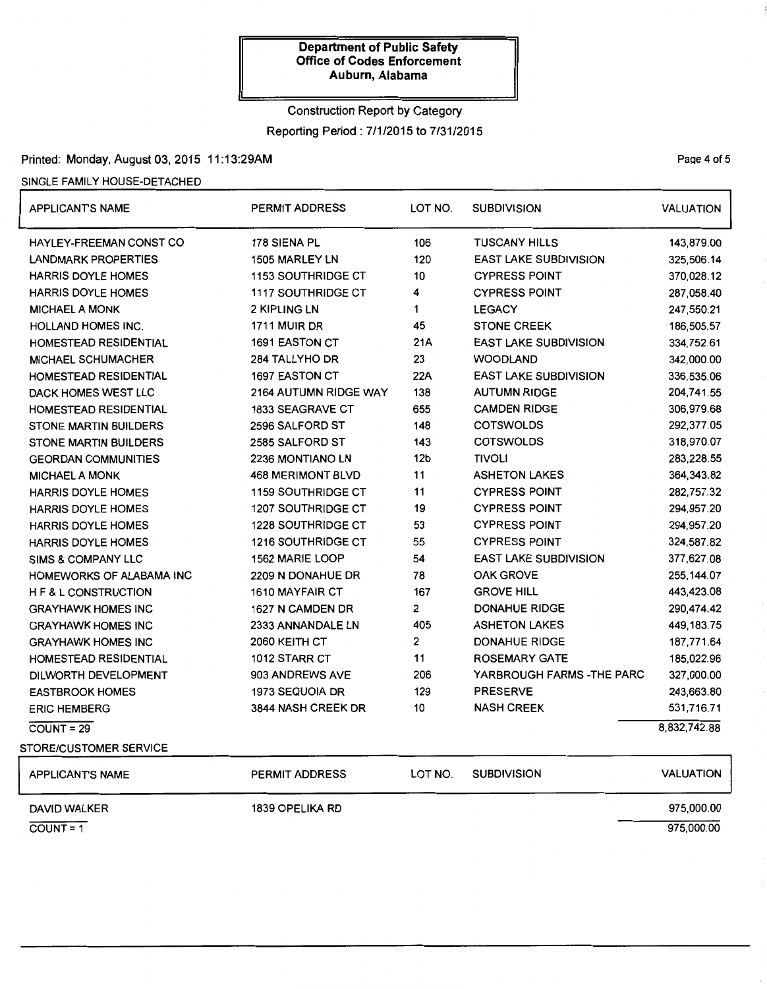# Construction Report by Category Reporting Period: 7/1/2015 to 7/31/2015

# Printed: Monday, August 03, 2015 11:13:29AM Printed: Monday, August 03, 2015 11:13:29AM

#### SINGLE FAMILY HOUSE-DETACHED

| <b>APPLICANT'S NAME</b>         | <b>PERMIT ADDRESS</b>     | LOT NO.         | <b>SUBDIVISION</b>           | <b>VALUATION</b> |
|---------------------------------|---------------------------|-----------------|------------------------------|------------------|
| <b>HAYLEY-FREEMAN CONST CO</b>  | 178 SIENA PL              | 106             | <b>TUSCANY HILLS</b>         | 143,879.00       |
| <b>LANDMARK PROPERTIES</b>      | 1505 MARLEY LN            | 120             | <b>EAST LAKE SUBDIVISION</b> | 325,506.14       |
| <b>HARRIS DOYLE HOMES</b>       | 1153 SOUTHRIDGE CT        | $10$            | <b>CYPRESS POINT</b>         | 370,028.12       |
| <b>HARRIS DOYLE HOMES</b>       | <b>1117 SOUTHRIDGE CT</b> | 4               | <b>CYPRESS POINT</b>         | 287,058.40       |
| <b>MICHAEL A MONK</b>           | <b>2 KIPLING LN</b>       | 1               | <b>LEGACY</b>                | 247,550.21       |
| <b>HOLLAND HOMES INC.</b>       | <b>1711 MUIR DR</b>       | 45              | <b>STONE CREEK</b>           | 186,505.57       |
| <b>HOMESTEAD RESIDENTIAL</b>    | 1691 EASTON CT            | 21A             | <b>EAST LAKE SUBDIVISION</b> | 334,752.61       |
| <b>MICHAEL SCHUMACHER</b>       | 284 TALLYHO DR            | 23              | <b>WOODLAND</b>              | 342,000.00       |
| HOMESTEAD RESIDENTIAL           | 1697 EASTON CT            | 22A             | <b>EAST LAKE SUBDIVISION</b> | 336,535.06       |
| DACK HOMES WEST LLC             | 2164 AUTUMN RIDGE WAY     | 138             | <b>AUTUMN RIDGE</b>          | 204,741.55       |
| HOMESTEAD RESIDENTIAL           | <b>1833 SEAGRAVE CT</b>   | 655             | <b>CAMDEN RIDGE</b>          | 306,979.68       |
| <b>STONE MARTIN BUILDERS</b>    | 2596 SALFORD ST           | 148             | <b>COTSWOLDS</b>             | 292,377.05       |
| <b>STONE MARTIN BUILDERS</b>    | 2585 SALFORD ST           | 143             | <b>COTSWOLDS</b>             | 318,970.07       |
| <b>GEORDAN COMMUNITIES</b>      | 2236 MONTIANO LN          | 12 <sub>b</sub> | <b>TIVOLI</b>                | 283,228.55       |
| <b>MICHAEL A MONK</b>           | <b>468 MERIMONT BLVD</b>  | 11              | <b>ASHETON LAKES</b>         | 364, 343.82      |
| <b>HARRIS DOYLE HOMES</b>       | <b>1159 SOUTHRIDGE CT</b> | 11              | <b>CYPRESS POINT</b>         | 282,757.32       |
| <b>HARRIS DOYLE HOMES</b>       | <b>1207 SOUTHRIDGE CT</b> | 19              | <b>CYPRESS POINT</b>         | 294,957.20       |
| <b>HARRIS DOYLE HOMES</b>       | <b>1228 SOUTHRIDGE CT</b> | 53              | <b>CYPRESS POINT</b>         | 294,957.20       |
| <b>HARRIS DOYLE HOMES</b>       | <b>1216 SOUTHRIDGE CT</b> | 55              | <b>CYPRESS POINT</b>         | 324 587.82       |
| <b>SIMS &amp; COMPANY LLC</b>   | <b>1562 MARIE LOOP</b>    | 54              | <b>EAST LAKE SUBDIVISION</b> | 377,627.08       |
| <b>HOMEWORKS OF ALABAMA INC</b> | 2209 N DONAHUE DR         | 78              | <b>OAK GROVE</b>             | 255,144.07       |
| <b>H F &amp; L CONSTRUCTION</b> | 1610 MAYFAIR CT           | 167             | <b>GROVE HILL</b>            | 443,423.08       |
| <b>GRAYHAWK HOMES INC</b>       | 1627 N CAMDEN DR          | 2               | <b>DONAHUE RIDGE</b>         | 290,474.42       |
| <b>GRAYHAWK HOMES INC</b>       | 2333 ANNANDALE LN         | 405             | <b>ASHETON LAKES</b>         | 449, 183. 75     |
| <b>GRAYHAWK HOMES INC</b>       | 2060 KEITH CT             | 2               | <b>DONAHUE RIDGE</b>         | 187,771.64       |
| HOMESTEAD RESIDENTIAL           | 1012 STARR CT             | 11              | <b>ROSEMARY GATE</b>         | 185,022.96       |
| DILWORTH DEVELOPMENT            | 903 ANDREWS AVE           | 206             | YARBROUGH FARMS -THE PARC    | 327,000.00       |
| <b>EASTBROOK HOMES</b>          | 1973 SEQUOIA DR           | 129             | <b>PRESERVE</b>              | 243,663.80       |
| <b>ERIC HEMBERG</b>             | 3844 NASH CREEK DR        | 10              | <b>NASH CREEK</b>            | 531,716.71       |
| $COUNT = 29$                    |                           |                 |                              | 8,832,742.88     |
| <b>STORE/CUSTOMER SERVICE</b>   |                           |                 |                              |                  |
| <b>APPLICANT'S NAME</b>         | <b>PERMIT ADDRESS</b>     | LOT NO.         | <b>SUBDIVISION</b>           | <b>VALUATION</b> |
| <b>DAVID WALKER</b>             | <b>1839 OPELIKA RD</b>    |                 |                              | 975,000.00       |

COUNT= 1 975,000.00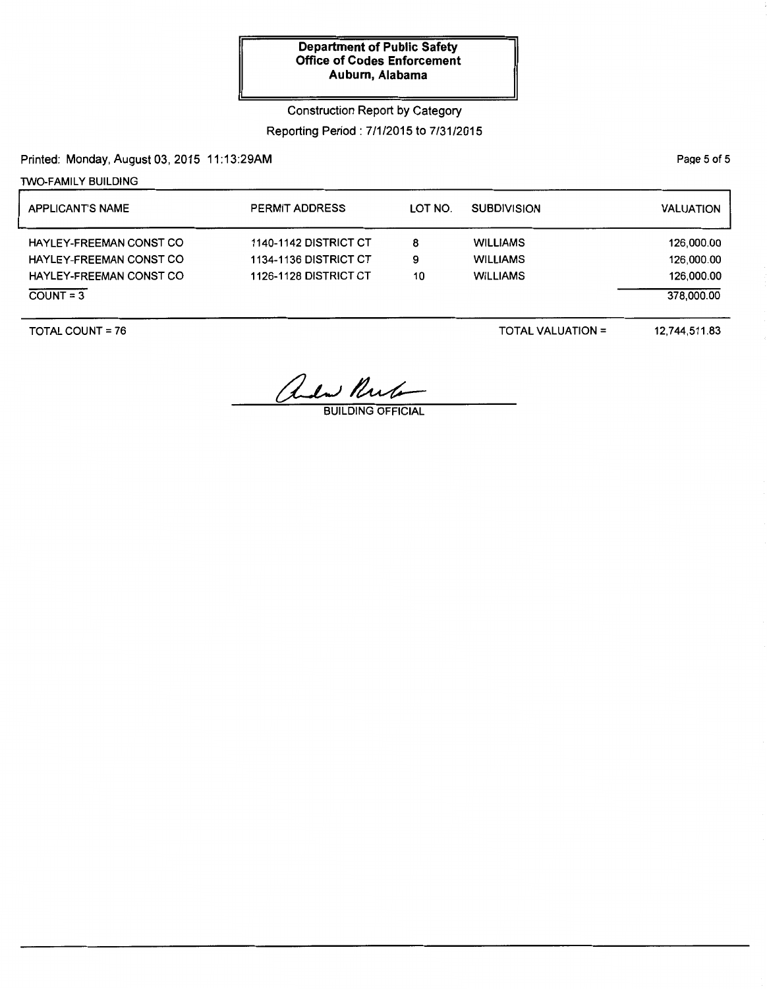Construction Report by Category

Reporting Period: 7/1/2015 to 7/31/2015

Printed: Monday, August 03,2015 11:13:29AM

1WO-FAMILY BUILDING

| <b>APPLICANT'S NAME</b>        | <b>PERMIT ADDRESS</b>        | LOT NO. | <b>SUBDIVISION</b> | <b>VALUATION</b> |
|--------------------------------|------------------------------|---------|--------------------|------------------|
| HAYLEY-FREEMAN CONST CO        | <b>1140-1142 DISTRICT CT</b> | 8       | <b>WILLIAMS</b>    | 126,000.00       |
| <b>HAYLEY-FREEMAN CONST CO</b> | <b>1134-1136 DISTRICT CT</b> | 9       | <b>WILLIAMS</b>    | 126,000.00       |
| <b>HAYLEY-FREEMAN CONST CO</b> | 1126-1128 DISTRICT CT        | 10      | <b>WILLIAMS</b>    | 126,000.00       |
| $COUNT = 3$                    |                              |         |                    | 378,000.00       |

TOTAL COUNT= 76

TOTAL VALUATION=

12,744,511.83

and Rule

BUILDING OFFICIAL

Page 5 of 5